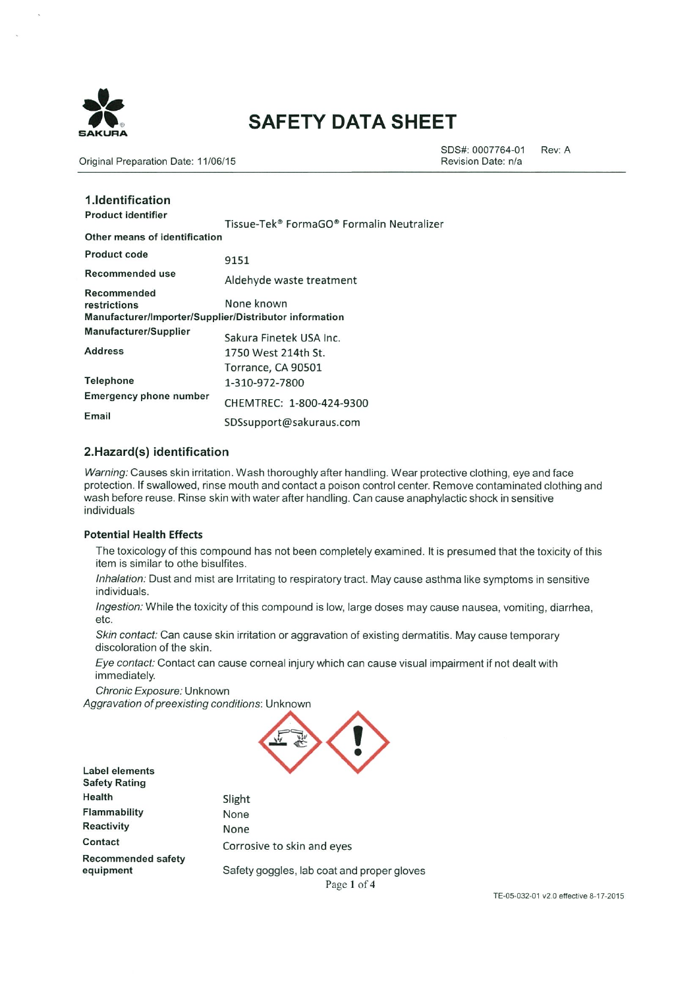

# **SAFETY DATA SHEET**

Original Preparation Date: 11/06/15

SDS#: 0007764-01 Rev: A Revision Date: n/a

| 1. Identification<br><b>Product identifier</b>                                        | Tissue-Tek® FormaGO® Formalin Neutralizer |
|---------------------------------------------------------------------------------------|-------------------------------------------|
| Other means of identification                                                         |                                           |
| <b>Product code</b>                                                                   | 9151                                      |
| Recommended use                                                                       | Aldehyde waste treatment                  |
| Recommended<br>restrictions<br>Manufacturer/Importer/Supplier/Distributor information | None known                                |
| Manufacturer/Supplier                                                                 | Sakura Finetek USA Inc.                   |
| <b>Address</b>                                                                        | 1750 West 214th St.                       |
|                                                                                       | Torrance, CA 90501                        |
| Telephone                                                                             | 1-310-972-7800                            |
| Emergency phone number                                                                | CHEMTREC: 1-800-424-9300                  |
| Email                                                                                 | SDSsupport@sakuraus.com                   |

### 2.Hazard(s) identification

Warning: Causes skin irritation. Wash thoroughly after handling. Wear protective clothing, eye and face protection. If swallowed, rinse mouth and contact a poison control center. Remove contaminated clothing and wash before reuse. Rinse skin with water after handling. Can cause anaphylactic shock in sensitive individuals

#### **Potential Health Effects**

The toxicology of this compound has not been completely examined. It is presumed that the toxicity of this item is similar to othe bisulfites.

Inhalation: Dust and mist are Irritating to respiratory tract. May cause asthma like symptoms in sensitive individuals.

Ingestion: While the toxicity of this compound is low, large doses may cause nausea, vomiting, diarrhea, etc.

Skin contact: Can cause skin irritation or aggravation of existing dermatitis. May cause temporary discoloration of the skin.

Eye contact: Contact can cause corneal injury which can cause visual impairment if not dealt with immediately.

Chronic Exposure: Unknown

Aggravation of preexisting conditions: Unknown

Slight



**Label elements Safety Rating** Health Flammability Reactivity Contact **Recommended safety** equipment

None None Corrosive to skin and eyes Safety goggles, lab coat and proper gloves

Page 1 of 4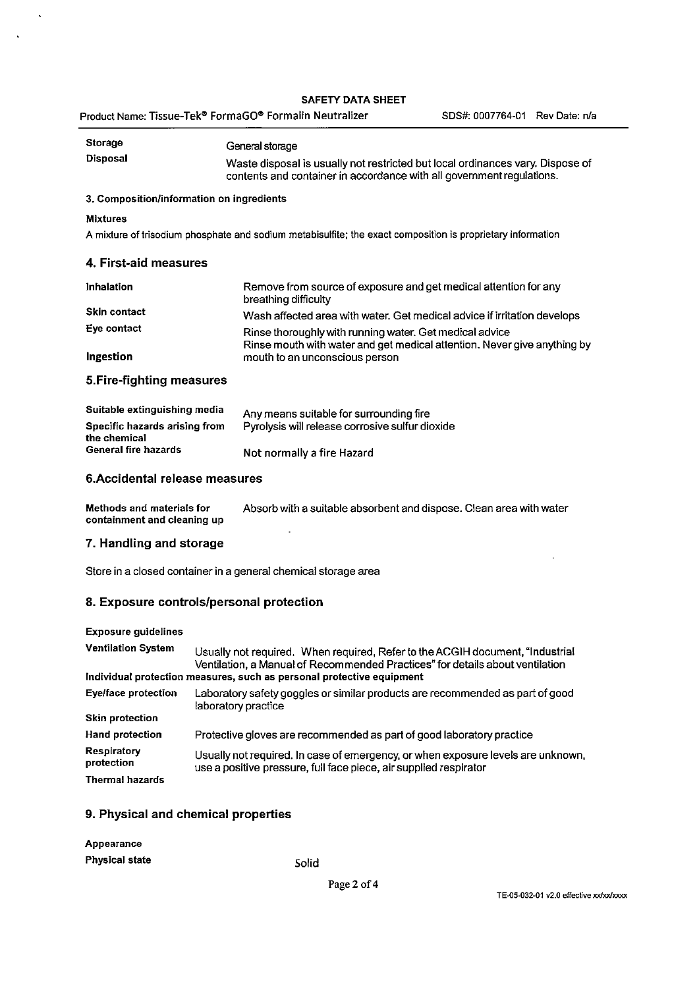## SAFETY DATA SHEET

 $\langle \cdot \rangle$ 

 $\Delta$ 

| <b>Storage</b>                                                                       | General storage                                                                                                                                                |  |  |  |  |
|--------------------------------------------------------------------------------------|----------------------------------------------------------------------------------------------------------------------------------------------------------------|--|--|--|--|
| Disposal                                                                             | Waste disposal is usually not restricted but local ordinances vary. Dispose of<br>contents and container in accordance with all government regulations.        |  |  |  |  |
| 3. Composition/information on ingredients                                            |                                                                                                                                                                |  |  |  |  |
| <b>Mixtures</b>                                                                      |                                                                                                                                                                |  |  |  |  |
|                                                                                      | A mixture of trisodium phosphate and sodium metabisulfite; the exact composition is proprietary information                                                    |  |  |  |  |
| 4. First-aid measures                                                                |                                                                                                                                                                |  |  |  |  |
| Inhalation                                                                           | Remove from source of exposure and get medical attention for any<br>breathing difficulty                                                                       |  |  |  |  |
| <b>Skin contact</b>                                                                  | Wash affected area with water. Get medical advice if irritation develops                                                                                       |  |  |  |  |
| Eye contact                                                                          | Rinse thoroughly with running water. Get medical advice                                                                                                        |  |  |  |  |
| Ingestion                                                                            | Rinse mouth with water and get medical attention. Never give anything by<br>mouth to an unconscious person                                                     |  |  |  |  |
| 5. Fire-fighting measures                                                            |                                                                                                                                                                |  |  |  |  |
| Suitable extinguishing media<br><b>Specific hazards arising from</b><br>the chemical | Any means suitable for surrounding fire<br>Pyrolysis will release corrosive sulfur dioxide                                                                     |  |  |  |  |
| <b>General fire hazards</b>                                                          | Not normally a fire Hazard                                                                                                                                     |  |  |  |  |
| 6. Accidental release measures                                                       |                                                                                                                                                                |  |  |  |  |
| Methods and materials for<br>containment and cleaning up                             | Absorb with a suitable absorbent and dispose. Clean area with water                                                                                            |  |  |  |  |
| 7. Handling and storage                                                              |                                                                                                                                                                |  |  |  |  |
| Store in a closed container in a general chemical storage area                       |                                                                                                                                                                |  |  |  |  |
| 8. Exposure controls/personal protection                                             |                                                                                                                                                                |  |  |  |  |
| <b>Exposure guidelines</b>                                                           |                                                                                                                                                                |  |  |  |  |
| <b>Ventilation System</b>                                                            | Usually not required. When required, Refer to the ACGIH document, "Industrial<br>Ventilation, a Manual of Recommended Practices" for details about ventilation |  |  |  |  |
| Individual protection measures, such as personal protective equipment                |                                                                                                                                                                |  |  |  |  |
| <b>Eye/face protection</b>                                                           | Laboratory safety goggles or similar products are recommended as part of good<br>laboratory practice                                                           |  |  |  |  |
|                                                                                      |                                                                                                                                                                |  |  |  |  |

| <b>Skin protection</b>    |                                                                                                                                                       |
|---------------------------|-------------------------------------------------------------------------------------------------------------------------------------------------------|
| <b>Hand protection</b>    | Protective gloves are recommended as part of good laboratory practice                                                                                 |
| Respiratory<br>protection | Usually not required. In case of emergency, or when exposure levels are unknown,<br>use a positive pressure, full face piece, air supplied respirator |
| <b>Thermal hazards</b>    |                                                                                                                                                       |

## 9. Physical and chemical properties

| Appearance            |  |
|-----------------------|--|
| <b>Physical state</b> |  |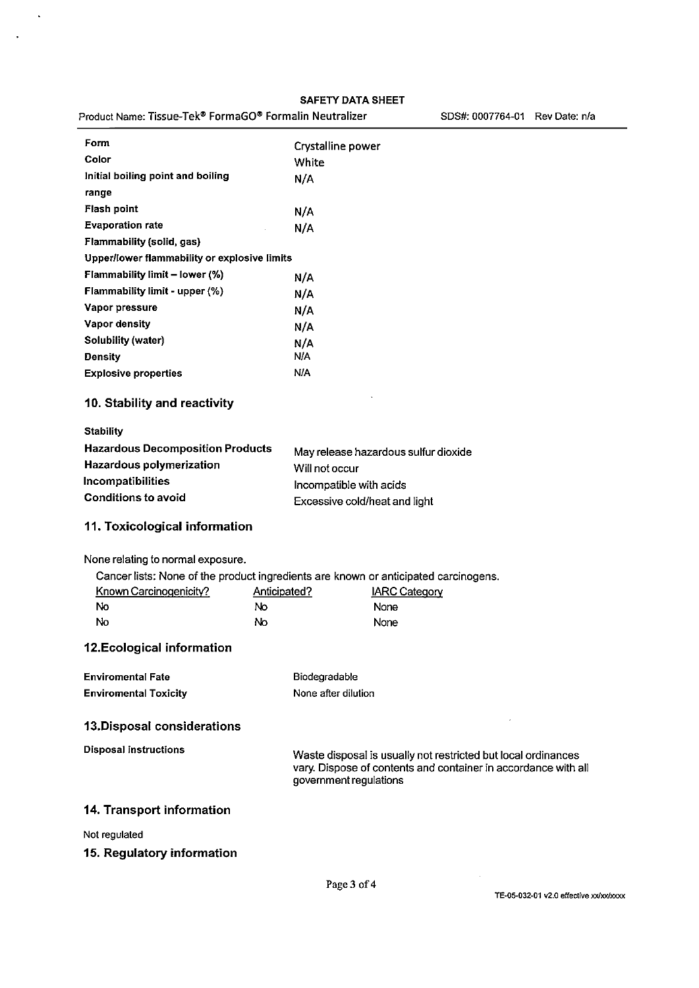| Product Name: Tissue-Tek® FormaGO® Formalin Neutralizer |              | SDS#: 0007764-01 Rev Date: n/a                                                                                                                            |
|---------------------------------------------------------|--------------|-----------------------------------------------------------------------------------------------------------------------------------------------------------|
| Form                                                    |              | Crystalline power                                                                                                                                         |
| Color                                                   | White        |                                                                                                                                                           |
| Initial boiling point and boiling                       | N/A          |                                                                                                                                                           |
| range                                                   |              |                                                                                                                                                           |
| <b>Flash point</b>                                      | N/A          |                                                                                                                                                           |
| <b>Evaporation rate</b>                                 | N/A          |                                                                                                                                                           |
| Flammability (solid, gas)                               |              |                                                                                                                                                           |
| Upper/lower flammability or explosive limits            |              |                                                                                                                                                           |
| Flammability limit - lower (%)                          | N/A          |                                                                                                                                                           |
| Flammability limit - upper (%)                          | N/A          |                                                                                                                                                           |
| Vapor pressure                                          | N/A          |                                                                                                                                                           |
| Vapor density                                           | N/A          |                                                                                                                                                           |
| <b>Solubility (water)</b>                               | N/A          |                                                                                                                                                           |
| <b>Density</b>                                          | N/A          |                                                                                                                                                           |
| <b>Explosive properties</b>                             | <b>N/A</b>   |                                                                                                                                                           |
| 10. Stability and reactivity                            |              |                                                                                                                                                           |
| <b>Stability</b>                                        |              |                                                                                                                                                           |
| <b>Hazardous Decomposition Products</b>                 |              | May release hazardous sulfur dioxide                                                                                                                      |
| Hazardous polymerization                                |              | Will not occur                                                                                                                                            |
| Incompatibilities                                       |              | Incompatible with acids                                                                                                                                   |
| <b>Conditions to avoid</b>                              |              | Excessive cold/heat and light                                                                                                                             |
| 11. Toxicological information                           |              |                                                                                                                                                           |
| None relating to normal exposure.                       |              |                                                                                                                                                           |
|                                                         |              | Cancer lists: None of the product ingredients are known or anticipated carcinogens.                                                                       |
| Known Carcinogenicity?                                  | Anticipated? | <b>IARC Category</b>                                                                                                                                      |
| <b>No</b>                                               | No           | None                                                                                                                                                      |
| No                                                      | No           | None                                                                                                                                                      |
| 12. Ecological information                              |              |                                                                                                                                                           |
| <b>Enviromental Fate</b>                                |              | Biodegradable                                                                                                                                             |
| <b>Enviromental Toxicity</b>                            |              | None after dilution                                                                                                                                       |
| 13. Disposal considerations                             |              |                                                                                                                                                           |
| <b>Disposal instructions</b>                            |              | Waste disposal is usually not restricted but local ordinances<br>vary. Dispose of contents and container in accordance with all<br>government regulations |
| 14. Transport information                               |              |                                                                                                                                                           |
| Not regulated                                           |              |                                                                                                                                                           |
|                                                         |              |                                                                                                                                                           |
| 15. Regulatory information                              |              |                                                                                                                                                           |
|                                                         |              |                                                                                                                                                           |

 $\sim$ 

 $\ddot{\phantom{a}}$ 

SDS#: 0007764-01 Rev Date: n/a